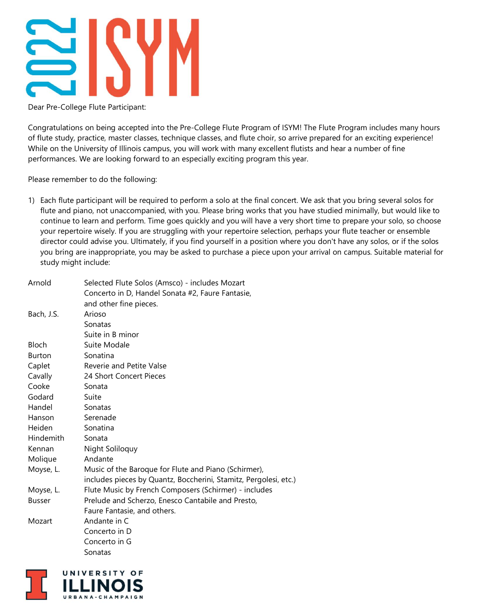

Dear Pre-College Flute Participant:

Congratulations on being accepted into the Pre-College Flute Program of ISYM! The Flute Program includes many hours of flute study, practice, master classes, technique classes, and flute choir, so arrive prepared for an exciting experience! While on the University of Illinois campus, you will work with many excellent flutists and hear a number of fine performances. We are looking forward to an especially exciting program this year.

Please remember to do the following:

1) Each flute participant will be required to perform a solo at the final concert. We ask that you bring several solos for flute and piano, not unaccompanied, with you. Please bring works that you have studied minimally, but would like to continue to learn and perform. Time goes quickly and you will have a very short time to prepare your solo, so choose your repertoire wisely. If you are struggling with your repertoire selection, perhaps your flute teacher or ensemble director could advise you. Ultimately, if you find yourself in a position where you don't have any solos, or if the solos you bring are inappropriate, you may be asked to purchase a piece upon your arrival on campus. Suitable material for study might include:

| Arnold        | Selected Flute Solos (Amsco) - includes Mozart<br>Concerto in D, Handel Sonata #2, Faure Fantasie, |
|---------------|----------------------------------------------------------------------------------------------------|
|               | and other fine pieces.                                                                             |
| Bach, J.S.    | Arioso                                                                                             |
|               | Sonatas                                                                                            |
|               | Suite in B minor                                                                                   |
| <b>Bloch</b>  | Suite Modale                                                                                       |
| <b>Burton</b> | Sonatina                                                                                           |
| Caplet        | Reverie and Petite Valse                                                                           |
| Cavally       | 24 Short Concert Pieces                                                                            |
| Cooke         | Sonata                                                                                             |
| Godard        | Suite                                                                                              |
| Handel        | Sonatas                                                                                            |
| Hanson        | Serenade                                                                                           |
| Heiden        | Sonatina                                                                                           |
| Hindemith     | Sonata                                                                                             |
| Kennan        | Night Soliloquy                                                                                    |
| Molique       | Andante                                                                                            |
| Moyse, L.     | Music of the Baroque for Flute and Piano (Schirmer),                                               |
|               | includes pieces by Quantz, Boccherini, Stamitz, Pergolesi, etc.)                                   |
| Moyse, L.     | Flute Music by French Composers (Schirmer) - includes                                              |
| <b>Busser</b> | Prelude and Scherzo, Enesco Cantabile and Presto,                                                  |
|               | Faure Fantasie, and others.                                                                        |
| Mozart        | Andante in C                                                                                       |
|               | Concerto in D                                                                                      |
|               | Concerto in G                                                                                      |
|               | Sonatas                                                                                            |